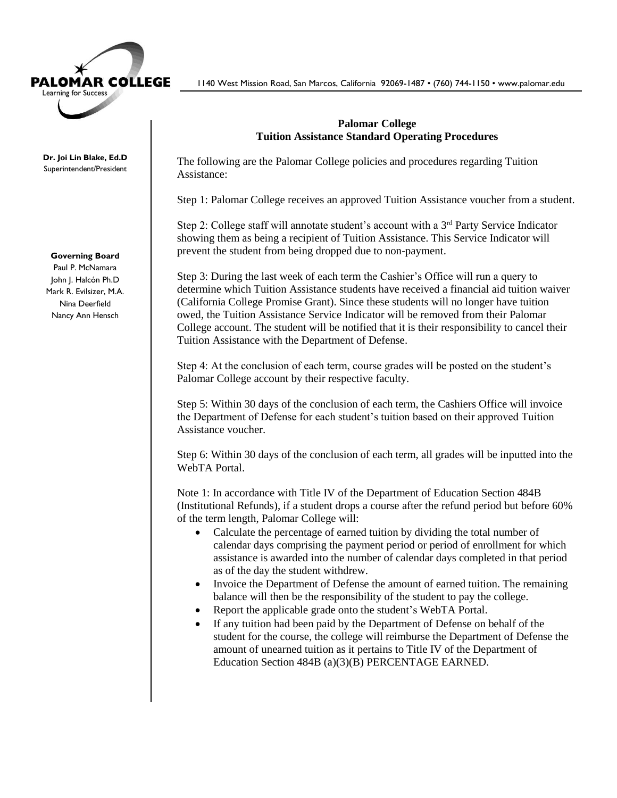

**Dr. Joi Lin Blake, Ed.D** Superintendent/President

## **Governing Board**

Paul P. McNamara John J. Halcón Ph.D Mark R. Evilsizer, M.A. Nina Deerfield Nancy Ann Hensch

1140 West Mission Road, San Marcos, California 92069-1487 • (760) 744-1150 • www.palomar.edu

## **Palomar College Tuition Assistance Standard Operating Procedures**

The following are the Palomar College policies and procedures regarding Tuition Assistance:

Step 1: Palomar College receives an approved Tuition Assistance voucher from a student.

Step 2: College staff will annotate student's account with a 3<sup>rd</sup> Party Service Indicator showing them as being a recipient of Tuition Assistance. This Service Indicator will prevent the student from being dropped due to non-payment.

Step 3: During the last week of each term the Cashier's Office will run a query to determine which Tuition Assistance students have received a financial aid tuition waiver (California College Promise Grant). Since these students will no longer have tuition owed, the Tuition Assistance Service Indicator will be removed from their Palomar College account. The student will be notified that it is their responsibility to cancel their Tuition Assistance with the Department of Defense.

Step 4: At the conclusion of each term, course grades will be posted on the student's Palomar College account by their respective faculty.

Step 5: Within 30 days of the conclusion of each term, the Cashiers Office will invoice the Department of Defense for each student's tuition based on their approved Tuition Assistance voucher.

Step 6: Within 30 days of the conclusion of each term, all grades will be inputted into the WebTA Portal.

Note 1: In accordance with Title IV of the Department of Education Section 484B (Institutional Refunds), if a student drops a course after the refund period but before 60% of the term length, Palomar College will:

- Calculate the percentage of earned tuition by dividing the total number of calendar days comprising the payment period or period of enrollment for which assistance is awarded into the number of calendar days completed in that period as of the day the student withdrew.
- Invoice the Department of Defense the amount of earned tuition. The remaining balance will then be the responsibility of the student to pay the college.
- Report the applicable grade onto the student's WebTA Portal.
- If any tuition had been paid by the Department of Defense on behalf of the student for the course, the college will reimburse the Department of Defense the amount of unearned tuition as it pertains to Title IV of the Department of Education Section 484B (a)(3)(B) PERCENTAGE EARNED.